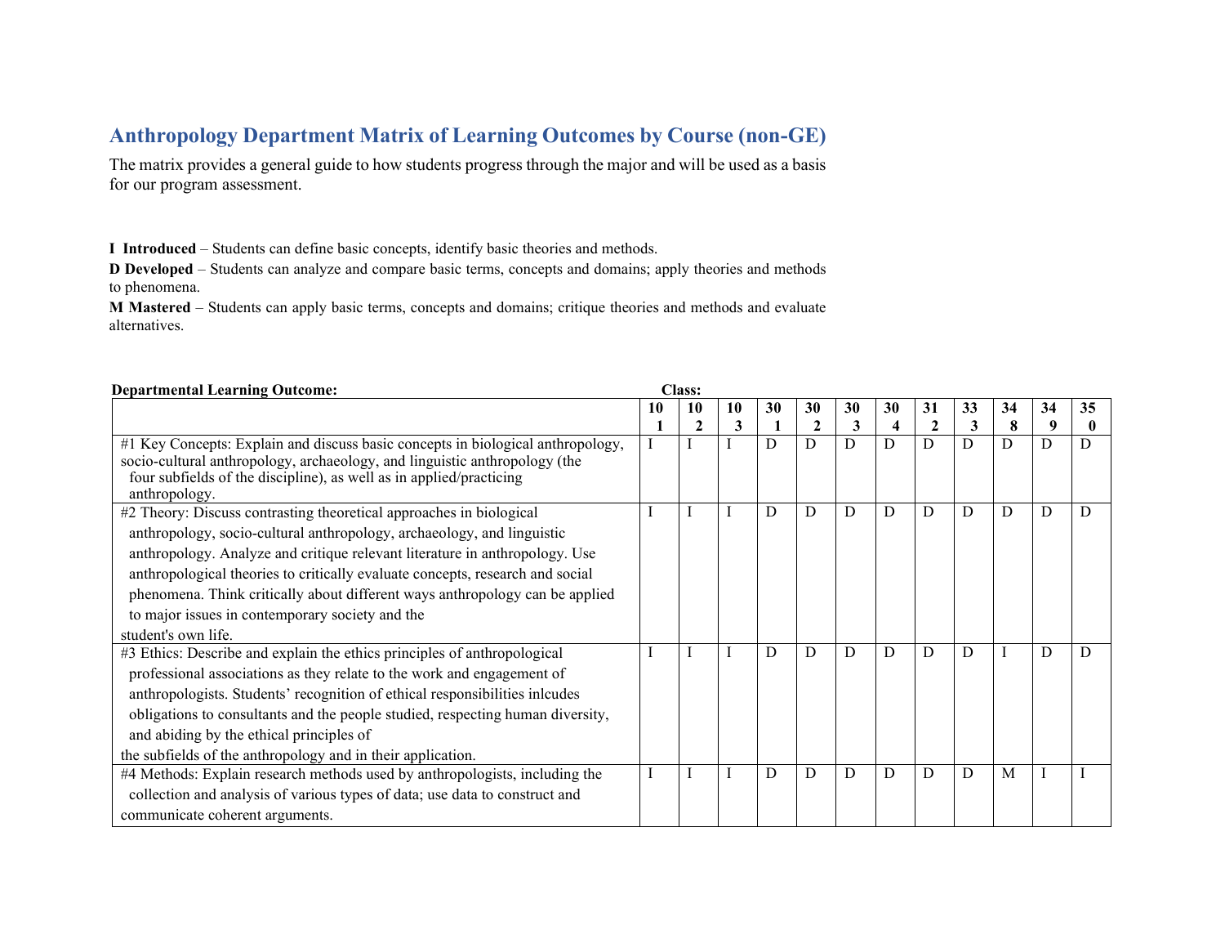## **Anthropology Department Matrix of Learning Outcomes by Course (non-GE)**

The matrix provides a general guide to how students progress through the major and will be used as a basis for our program assessment.

**I Introduced** – Students can define basic concepts, identify basic theories and methods.

**D Developed** – Students can analyze and compare basic terms, concepts and domains; apply theories and methods to phenomena.

**M Mastered** – Students can apply basic terms, concepts and domains; critique theories and methods and evaluate alternatives.

| <b>Departmental Learning Outcome:</b>                                           |    | <b>Class:</b> |    |    |              |    |                         |             |    |    |    |    |
|---------------------------------------------------------------------------------|----|---------------|----|----|--------------|----|-------------------------|-------------|----|----|----|----|
|                                                                                 | 10 | 10            | 10 | 30 | 30           | 30 | 30                      | 31          | 33 | 34 | 34 | 35 |
|                                                                                 |    |               | 3  |    | $\mathbf{2}$ | 3  | $\overline{\mathbf{4}}$ | $\mathbf 2$ | 3  | 8  | 9  |    |
| #1 Key Concepts: Explain and discuss basic concepts in biological anthropology, |    |               |    | D  | D            | D  | D                       | D           | D  | D  | D  | D  |
| socio-cultural anthropology, archaeology, and linguistic anthropology (the      |    |               |    |    |              |    |                         |             |    |    |    |    |
| four subfields of the discipline), as well as in applied/practicing             |    |               |    |    |              |    |                         |             |    |    |    |    |
| anthropology.                                                                   |    |               |    |    |              |    |                         |             |    |    |    |    |
| #2 Theory: Discuss contrasting theoretical approaches in biological             |    |               |    | D  | D            | D  | D                       | D           | D  | D  | D  | D  |
| anthropology, socio-cultural anthropology, archaeology, and linguistic          |    |               |    |    |              |    |                         |             |    |    |    |    |
| anthropology. Analyze and critique relevant literature in anthropology. Use     |    |               |    |    |              |    |                         |             |    |    |    |    |
| anthropological theories to critically evaluate concepts, research and social   |    |               |    |    |              |    |                         |             |    |    |    |    |
| phenomena. Think critically about different ways anthropology can be applied    |    |               |    |    |              |    |                         |             |    |    |    |    |
| to major issues in contemporary society and the                                 |    |               |    |    |              |    |                         |             |    |    |    |    |
| student's own life.                                                             |    |               |    |    |              |    |                         |             |    |    |    |    |
| #3 Ethics: Describe and explain the ethics principles of anthropological        |    |               |    | D  | D            | D  | D                       | D           | D  |    | D  | D  |
| professional associations as they relate to the work and engagement of          |    |               |    |    |              |    |                         |             |    |    |    |    |
| anthropologists. Students' recognition of ethical responsibilities inlcudes     |    |               |    |    |              |    |                         |             |    |    |    |    |
| obligations to consultants and the people studied, respecting human diversity,  |    |               |    |    |              |    |                         |             |    |    |    |    |
| and abiding by the ethical principles of                                        |    |               |    |    |              |    |                         |             |    |    |    |    |
| the subfields of the anthropology and in their application.                     |    |               |    |    |              |    |                         |             |    |    |    |    |
| #4 Methods: Explain research methods used by anthropologists, including the     |    |               |    | D  | D            | D  | D                       | D           | D  | M  |    |    |
| collection and analysis of various types of data; use data to construct and     |    |               |    |    |              |    |                         |             |    |    |    |    |
| communicate coherent arguments.                                                 |    |               |    |    |              |    |                         |             |    |    |    |    |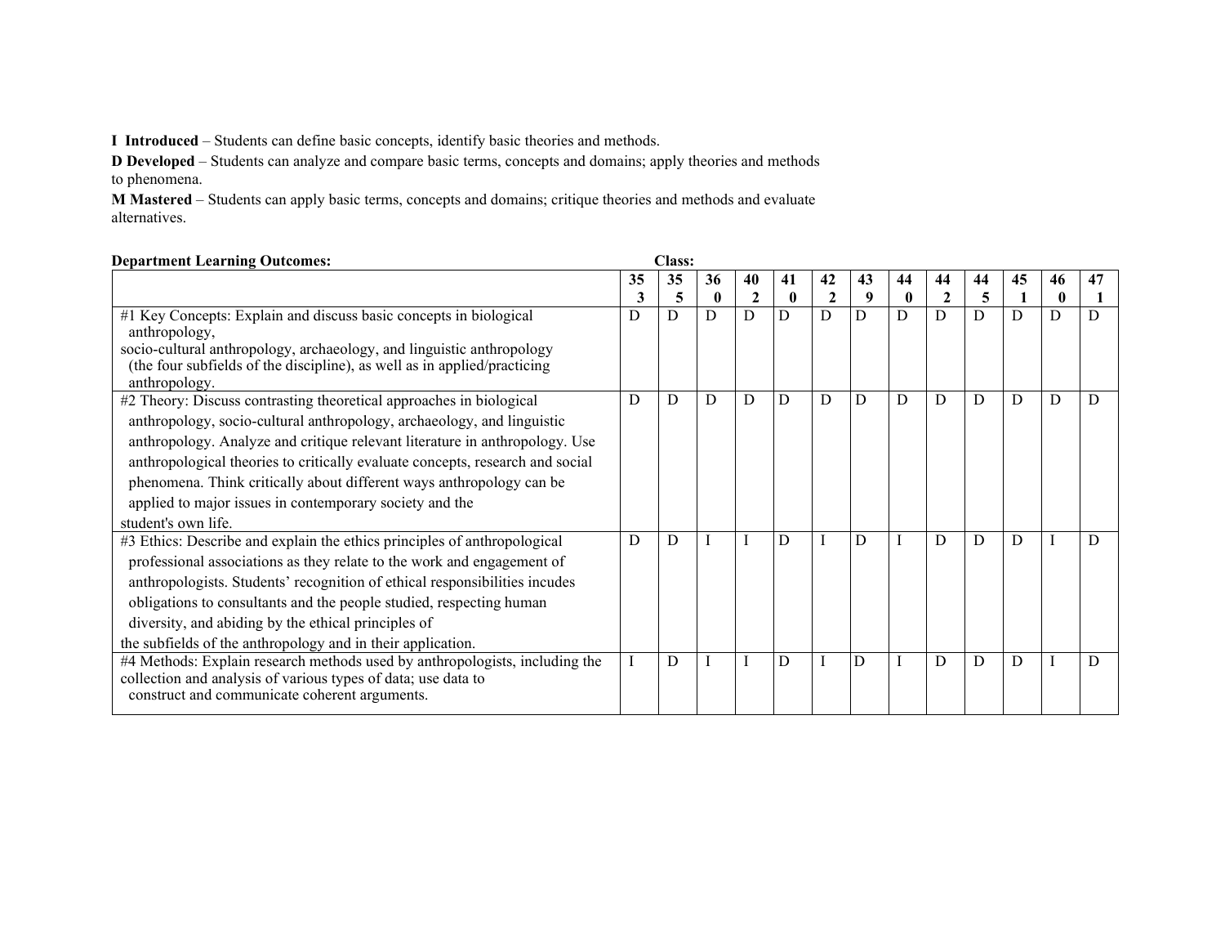**I Introduced** – Students can define basic concepts, identify basic theories and methods.

**D Developed** – Students can analyze and compare basic terms, concepts and domains; apply theories and methods to phenomena.

**M Mastered** – Students can apply basic terms, concepts and domains; critique theories and methods and evaluate alternatives.

| <b>Department Learning Outcomes:</b>                                          |    | <b>Class:</b> |              |                |              |              |    |              |                |    |    |             |    |
|-------------------------------------------------------------------------------|----|---------------|--------------|----------------|--------------|--------------|----|--------------|----------------|----|----|-------------|----|
|                                                                               | 35 | 35            | 36           | 40             | 41           | 42           | 43 | 44           | 44             | 44 | 45 | 46          | 47 |
|                                                                               |    | 5             | $\mathbf{0}$ |                | $\mathbf{0}$ | $\mathbf{2}$ | 9  | $\mathbf{0}$ | $\overline{c}$ | 5  |    | $\mathbf 0$ |    |
| #1 Key Concepts: Explain and discuss basic concepts in biological             | D  | D             | D            | $\overline{D}$ | D            | D            | D  | D            | D              | D  | D  | D           | D  |
| anthropology,                                                                 |    |               |              |                |              |              |    |              |                |    |    |             |    |
| socio-cultural anthropology, archaeology, and linguistic anthropology         |    |               |              |                |              |              |    |              |                |    |    |             |    |
| (the four subfields of the discipline), as well as in applied/practicing      |    |               |              |                |              |              |    |              |                |    |    |             |    |
| anthropology.                                                                 | D  | D             | D            | D              | D            | D            | D  | D            | D              | D  | D  | D           | D  |
| #2 Theory: Discuss contrasting theoretical approaches in biological           |    |               |              |                |              |              |    |              |                |    |    |             |    |
| anthropology, socio-cultural anthropology, archaeology, and linguistic        |    |               |              |                |              |              |    |              |                |    |    |             |    |
| anthropology. Analyze and critique relevant literature in anthropology. Use   |    |               |              |                |              |              |    |              |                |    |    |             |    |
| anthropological theories to critically evaluate concepts, research and social |    |               |              |                |              |              |    |              |                |    |    |             |    |
| phenomena. Think critically about different ways anthropology can be          |    |               |              |                |              |              |    |              |                |    |    |             |    |
| applied to major issues in contemporary society and the                       |    |               |              |                |              |              |    |              |                |    |    |             |    |
| student's own life.                                                           |    |               |              |                |              |              |    |              |                |    |    |             |    |
| #3 Ethics: Describe and explain the ethics principles of anthropological      | D  | D             |              |                | D            |              | D  |              | D              | D  | D  |             | D  |
| professional associations as they relate to the work and engagement of        |    |               |              |                |              |              |    |              |                |    |    |             |    |
| anthropologists. Students' recognition of ethical responsibilities incudes    |    |               |              |                |              |              |    |              |                |    |    |             |    |
| obligations to consultants and the people studied, respecting human           |    |               |              |                |              |              |    |              |                |    |    |             |    |
| diversity, and abiding by the ethical principles of                           |    |               |              |                |              |              |    |              |                |    |    |             |    |
| the subfields of the anthropology and in their application.                   |    |               |              |                |              |              |    |              |                |    |    |             |    |
| #4 Methods: Explain research methods used by anthropologists, including the   |    | D             |              |                | D            |              | D  |              | D              | D  | D  |             | D  |
| collection and analysis of various types of data; use data to                 |    |               |              |                |              |              |    |              |                |    |    |             |    |
| construct and communicate coherent arguments.                                 |    |               |              |                |              |              |    |              |                |    |    |             |    |
|                                                                               |    |               |              |                |              |              |    |              |                |    |    |             |    |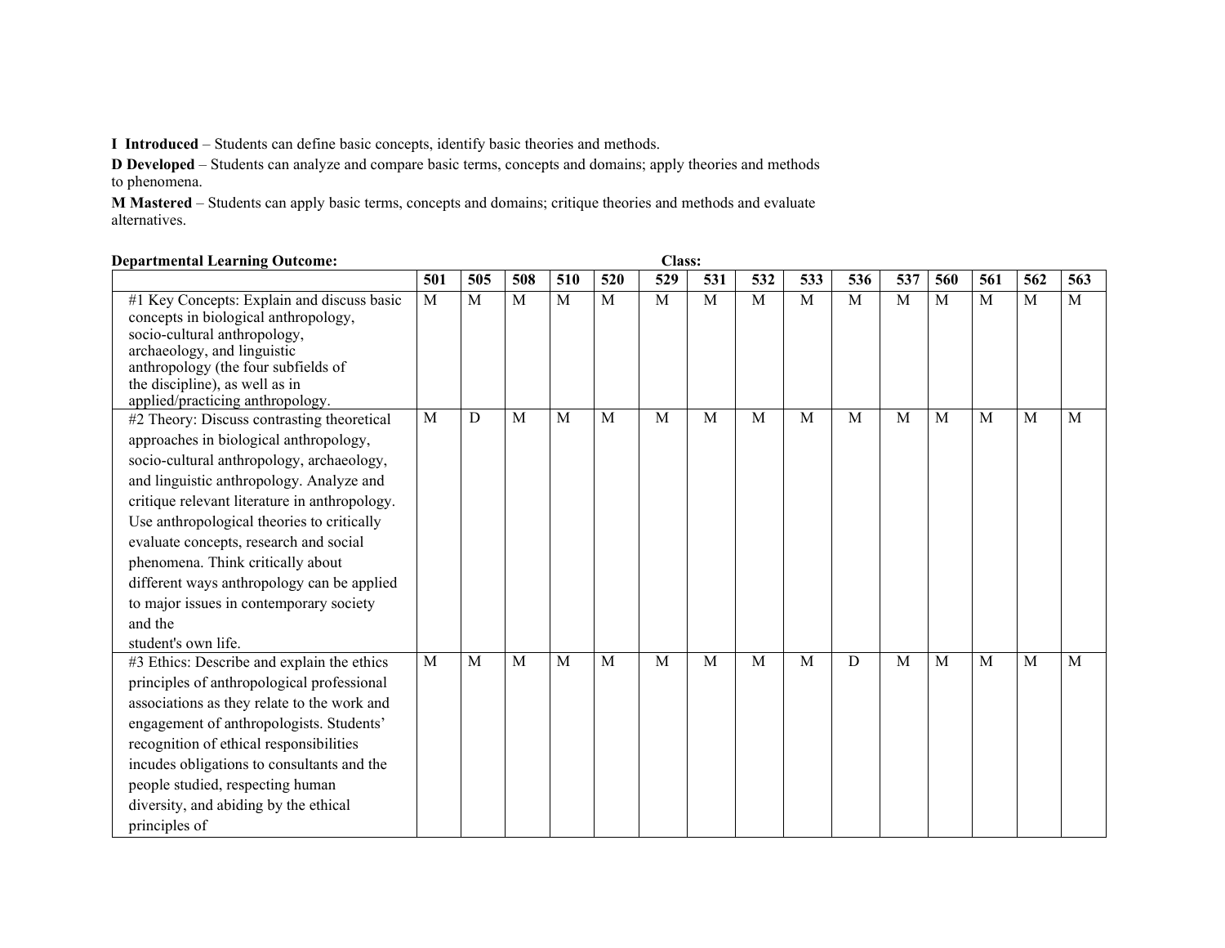**I Introduced** – Students can define basic concepts, identify basic theories and methods.

**D Developed** – Students can analyze and compare basic terms, concepts and domains; apply theories and methods to phenomena.

**M Mastered** – Students can apply basic terms, concepts and domains; critique theories and methods and evaluate alternatives.

| <b>Class:</b><br><b>Departmental Learning Outcome:</b>                                                                                                                                                                                                                                                                                                                                                                                                                                              |              |     |     |              |     |              |     |                |     |     |              |     |     |     |     |
|-----------------------------------------------------------------------------------------------------------------------------------------------------------------------------------------------------------------------------------------------------------------------------------------------------------------------------------------------------------------------------------------------------------------------------------------------------------------------------------------------------|--------------|-----|-----|--------------|-----|--------------|-----|----------------|-----|-----|--------------|-----|-----|-----|-----|
|                                                                                                                                                                                                                                                                                                                                                                                                                                                                                                     | 501          | 505 | 508 | 510          | 520 | 529          | 531 | 532            | 533 | 536 | 537          | 560 | 561 | 562 | 563 |
| #1 Key Concepts: Explain and discuss basic<br>concepts in biological anthropology,<br>socio-cultural anthropology,<br>archaeology, and linguistic<br>anthropology (the four subfields of<br>the discipline), as well as in                                                                                                                                                                                                                                                                          | $\mathbf{M}$ | M   | M   | $\mathbf{M}$ | M   | $\mathbf{M}$ | M   | $\overline{M}$ | M   | M   | $\mathbf{M}$ | M   | M   | M   | M   |
| applied/practicing anthropology.<br>#2 Theory: Discuss contrasting theoretical<br>approaches in biological anthropology,<br>socio-cultural anthropology, archaeology,<br>and linguistic anthropology. Analyze and<br>critique relevant literature in anthropology.<br>Use anthropological theories to critically<br>evaluate concepts, research and social<br>phenomena. Think critically about<br>different ways anthropology can be applied<br>to major issues in contemporary society<br>and the | $\mathbf{M}$ | D   | M   | M            | M   | M            | M   | M              | M   | M   | M            | M   | M   | M   | M   |
| student's own life.<br>#3 Ethics: Describe and explain the ethics<br>principles of anthropological professional<br>associations as they relate to the work and<br>engagement of anthropologists. Students'<br>recognition of ethical responsibilities<br>incudes obligations to consultants and the<br>people studied, respecting human<br>diversity, and abiding by the ethical<br>principles of                                                                                                   | $\mathbf{M}$ | M   | M   | M            | M   | M            | M   | M              | M   | D   | M            | M   | M   | M   | M   |